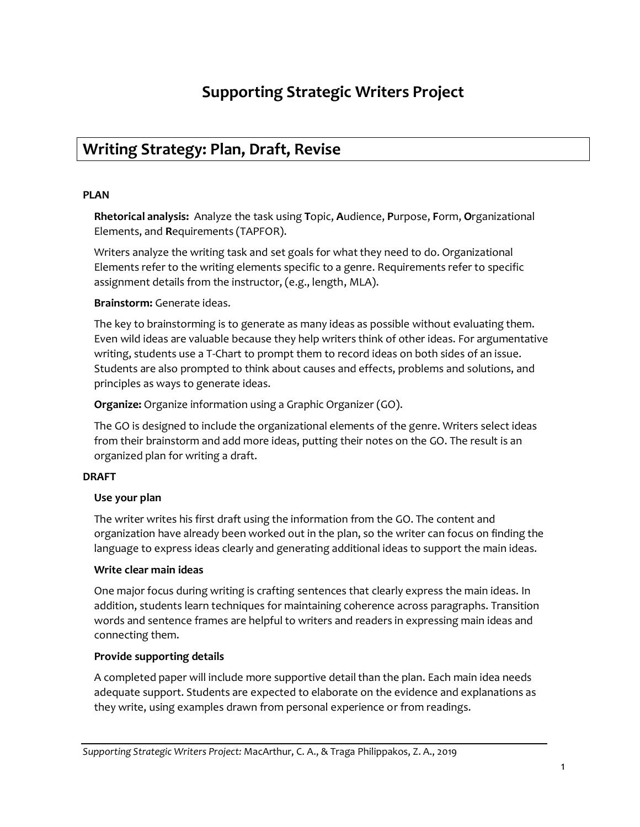## **Supporting Strategic Writers Project**

## **Writing Strategy: Plan, Draft, Revise**

#### **PLAN**

**Rhetorical analysis:** Analyze the task using **T**opic, **A**udience, **P**urpose, **F**orm, **O**rganizational Elements, and **R**equirements (TAPFOR).

Writers analyze the writing task and set goals for what they need to do. Organizational Elements refer to the writing elements specific to a genre. Requirements refer to specific assignment details from the instructor, (e.g., length, MLA).

#### **Brainstorm:** Generate ideas.

The key to brainstorming is to generate as many ideas as possible without evaluating them. Even wild ideas are valuable because they help writers think of other ideas. For argumentative writing, students use a T-Chart to prompt them to record ideas on both sides of an issue. Students are also prompted to think about causes and effects, problems and solutions, and principles as ways to generate ideas.

**Organize:** Organize information using a Graphic Organizer (GO).

The GO is designed to include the organizational elements of the genre. Writers select ideas from their brainstorm and add more ideas, putting their notes on the GO. The result is an organized plan for writing a draft.

#### **DRAFT**

#### **Use your plan**

The writer writes his first draft using the information from the GO. The content and organization have already been worked out in the plan, so the writer can focus on finding the language to express ideas clearly and generating additional ideas to support the main ideas.

#### **Write clear main ideas**

One major focus during writing is crafting sentences that clearly express the main ideas. In addition, students learn techniques for maintaining coherence across paragraphs. Transition words and sentence frames are helpful to writers and readers in expressing main ideas and connecting them.

#### **Provide supporting details**

A completed paper will include more supportive detail than the plan. Each main idea needs adequate support. Students are expected to elaborate on the evidence and explanations as they write, using examples drawn from personal experience or from readings.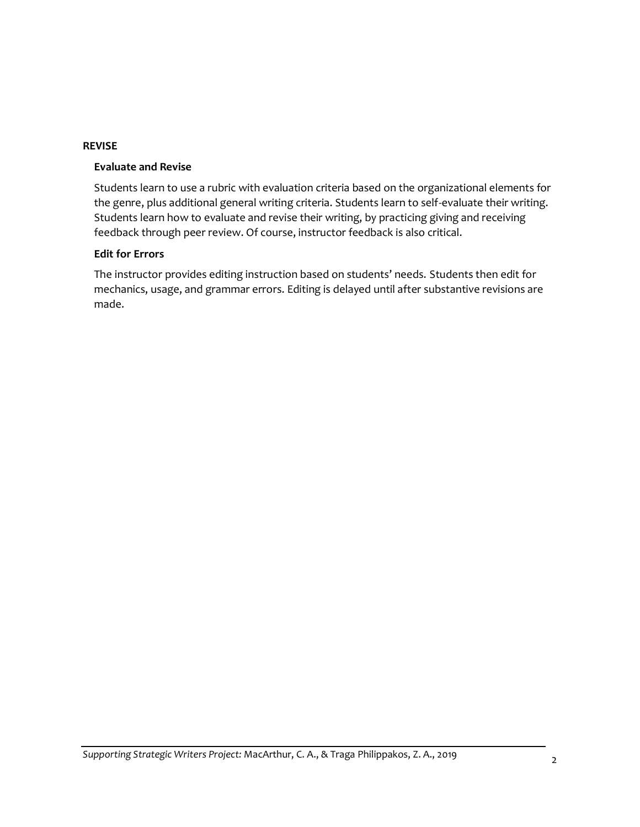#### **REVISE**

#### **Evaluate and Revise**

Students learn to use a rubric with evaluation criteria based on the organizational elements for the genre, plus additional general writing criteria. Students learn to self-evaluate their writing. Students learn how to evaluate and revise their writing, by practicing giving and receiving feedback through peer review. Of course, instructor feedback is also critical.

#### **Edit for Errors**

The instructor provides editing instruction based on students' needs. Students then edit for mechanics, usage, and grammar errors. Editing is delayed until after substantive revisions are made.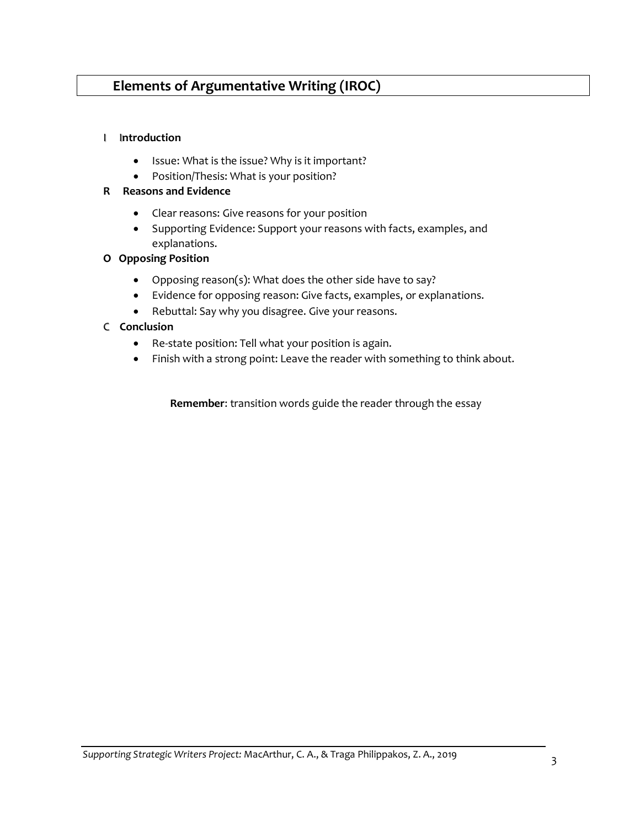### **Elements of Argumentative Writing (IROC)**

#### I I**ntroduction**

- Issue: What is the issue? Why is it important?
- Position/Thesis: What is your position?

#### **R Reasons and Evidence**

- Clear reasons: Give reasons for your position
- Supporting Evidence: Support your reasons with facts, examples, and explanations.

#### **O Opposing Position**

- Opposing reason(s): What does the other side have to say?
- Evidence for opposing reason: Give facts, examples, or explanations.
- Rebuttal: Say why you disagree. Give your reasons.

#### C **Conclusion**

- Re-state position: Tell what your position is again.
- Finish with a strong point: Leave the reader with something to think about.

**Remember**: transition words guide the reader through the essay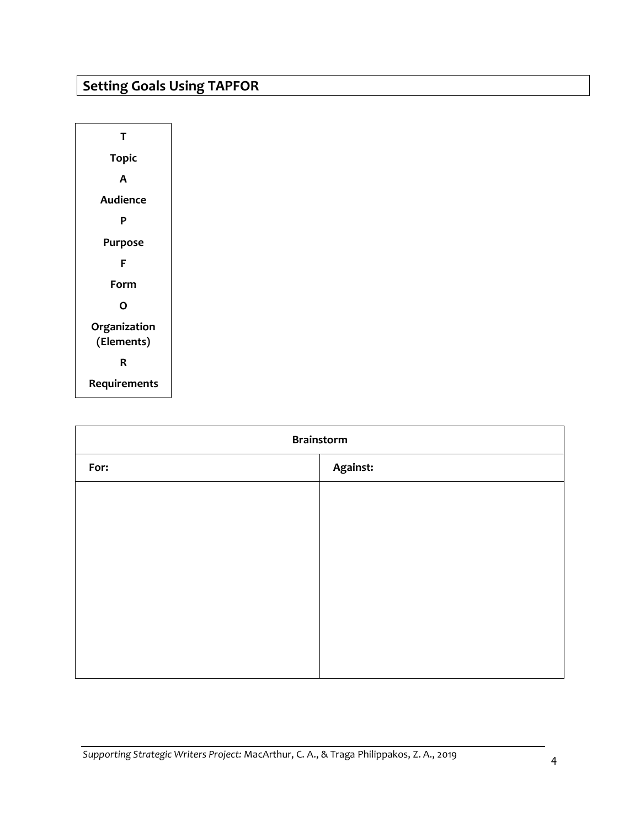## **Setting Goals Using TAPFOR**

| т               |
|-----------------|
| Topic           |
| А               |
| <b>Audience</b> |
| P               |
| Purpose         |
| F               |
| Form            |
| ი               |
| Organization    |
| (Elements)      |
| R               |
| Requirements    |

| <b>Brainstorm</b> |          |  |  |  |  |  |
|-------------------|----------|--|--|--|--|--|
| For:              | Against: |  |  |  |  |  |
|                   |          |  |  |  |  |  |
|                   |          |  |  |  |  |  |
|                   |          |  |  |  |  |  |
|                   |          |  |  |  |  |  |
|                   |          |  |  |  |  |  |
|                   |          |  |  |  |  |  |
|                   |          |  |  |  |  |  |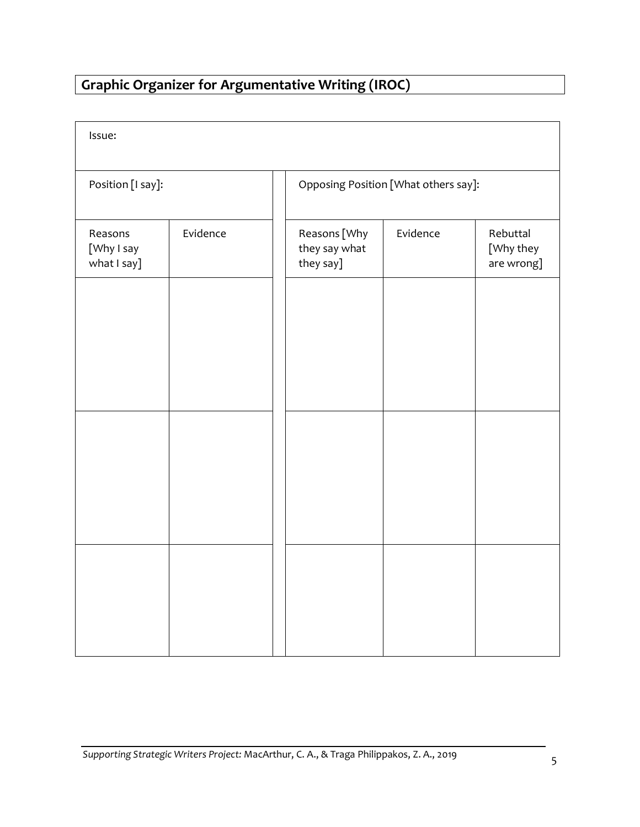# **Graphic Organizer for Argumentative Writing (IROC)**

| Issue:                               |          |  |                                            |          |                                     |  |
|--------------------------------------|----------|--|--------------------------------------------|----------|-------------------------------------|--|
| Position [I say]:                    |          |  | Opposing Position [What others say]:       |          |                                     |  |
| Reasons<br>[Why I say<br>what I say] | Evidence |  | Reasons [Why<br>they say what<br>they say] | Evidence | Rebuttal<br>[Why they<br>are wrong] |  |
|                                      |          |  |                                            |          |                                     |  |
|                                      |          |  |                                            |          |                                     |  |
|                                      |          |  |                                            |          |                                     |  |
|                                      |          |  |                                            |          |                                     |  |
|                                      |          |  |                                            |          |                                     |  |
|                                      |          |  |                                            |          |                                     |  |
|                                      |          |  |                                            |          |                                     |  |
|                                      |          |  |                                            |          |                                     |  |
|                                      |          |  |                                            |          |                                     |  |